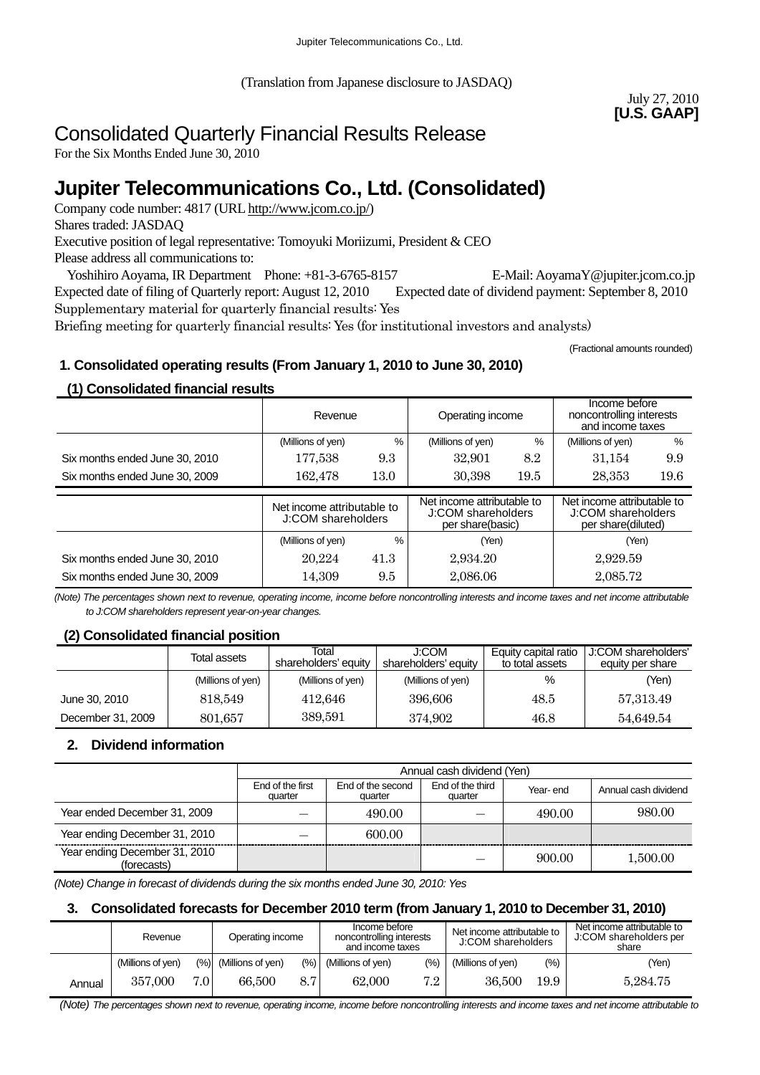(Translation from Japanese disclosure to JASDAQ)

July 27, 2010 **[U.S. GAAP]** 

# Consolidated Quarterly Financial Results Release

For the Six Months Ended June 30, 2010

# **Jupiter Telecommunications Co., Ltd. (Consolidated)**

Company code number: 4817 (URL [http://www.jcom.co.jp/](http://www.jcomxxxxxxxxx.co.jp/))

Shares traded: JASDAQ

Executive position of legal representative: Tomoyuki Moriizumi, President & CEO

Please address all communications to:

Yoshihiro Aoyama, IR Department Phone: +81-3-6765-8157 E-Mail: AoyamaY@jupiter.jcom.co.jp Expected date of filing of Quarterly report: August 12, 2010 Expected date of dividend payment: September 8, 2010 Supplementary material for quarterly financial results: Yes

Briefing meeting for quarterly financial results: Yes (for institutional investors and analysts)

(Fractional amounts rounded)

# **1. Consolidated operating results (From January 1, 2010 to June 30, 2010)**

# **(1) Consolidated financial results**

|                                | Revenue                                          |      | Operating income                                                     |      | Income before<br>noncontrolling interests<br>and income taxes          |      |
|--------------------------------|--------------------------------------------------|------|----------------------------------------------------------------------|------|------------------------------------------------------------------------|------|
|                                | (Millions of yen)                                | %    | (Millions of yen)                                                    | %    | (Millions of yen)                                                      | %    |
| Six months ended June 30, 2010 | 177,538                                          | 9.3  | 32.901                                                               | 8.2  | 31.154                                                                 | 9.9  |
| Six months ended June 30, 2009 | 162,478                                          | 13.0 | 30,398                                                               | 19.5 | 28,353                                                                 | 19.6 |
|                                |                                                  |      |                                                                      |      |                                                                        |      |
|                                |                                                  |      |                                                                      |      |                                                                        |      |
|                                | Net income attributable to<br>J:COM shareholders |      | Net income attributable to<br>J:COM shareholders<br>per share(basic) |      | Net income attributable to<br>J:COM shareholders<br>per share(diluted) |      |
|                                | (Millions of yen)                                | %    | (Yen)                                                                |      | (Yen)                                                                  |      |
| Six months ended June 30, 2010 | 20.224                                           | 41.3 | 2,934.20                                                             |      | 2,929.59                                                               |      |

*(Note) The percentages shown next to revenue, operating income, income before noncontrolling interests and income taxes and net income attributable to J:COM shareholders represent year-on-year changes.* 

# **(2) Consolidated financial position**

|                   | Total assets      | Total<br>shareholders' equity | J:COM<br>shareholders' equity | Equity capital ratio<br>to total assets | J:COM shareholders'<br>equity per share |
|-------------------|-------------------|-------------------------------|-------------------------------|-----------------------------------------|-----------------------------------------|
|                   | (Millions of yen) | (Millions of yen)             | (Millions of yen)             | %                                       | (Yen)                                   |
| June 30, 2010     | 818.549           | 412.646                       | 396,606                       | 48.5                                    | 57,313.49                               |
| December 31, 2009 | 801,657           | 389,591                       | 374.902                       | 46.8                                    | 54.649.54                               |

# **2. Dividend information**

|                                              |                             | Annual cash dividend (Yen)   |                             |          |                      |  |  |
|----------------------------------------------|-----------------------------|------------------------------|-----------------------------|----------|----------------------|--|--|
|                                              | End of the first<br>quarter | End of the second<br>quarter | End of the third<br>quarter | Year-end | Annual cash dividend |  |  |
| Year ended December 31, 2009                 |                             | 490.00                       |                             | 490.00   | 980.00               |  |  |
| Year ending December 31, 2010                |                             | 600.00                       |                             |          |                      |  |  |
| Year ending December 31, 2010<br>(forecasts) |                             |                              |                             | 900.00   | 1,500.00             |  |  |

*(Note) Change in forecast of dividends during the six months ended June 30, 2010: Yes* 

# **3. Consolidated forecasts for December 2010 term (from January 1, 2010 to December 31, 2010)**

|        | Revenue           |       | Operating income         |       | Income before<br>noncontrolling interests<br>and income taxes |         | Net income attributable to<br>J:COM shareholders |      | Net income attributable to<br>J:COM shareholders per<br>share |  |
|--------|-------------------|-------|--------------------------|-------|---------------------------------------------------------------|---------|--------------------------------------------------|------|---------------------------------------------------------------|--|
|        | (Millions of yen) |       | $(\%)$ (Millions of yen) | (9/6) | (Millions of yen)                                             | $(\% )$ | (Millions of yen)                                | (%)  | (Yen)                                                         |  |
| Annual | 357.000           | 7.0 I | 66,500                   | 8.7   | 62,000                                                        | 7.2     | 36,500                                           | 19.9 | 5.284.75                                                      |  |

 *(Note) The percentages shown next to revenue, operating income, income before noncontrolling interests and income taxes and net income attributable to*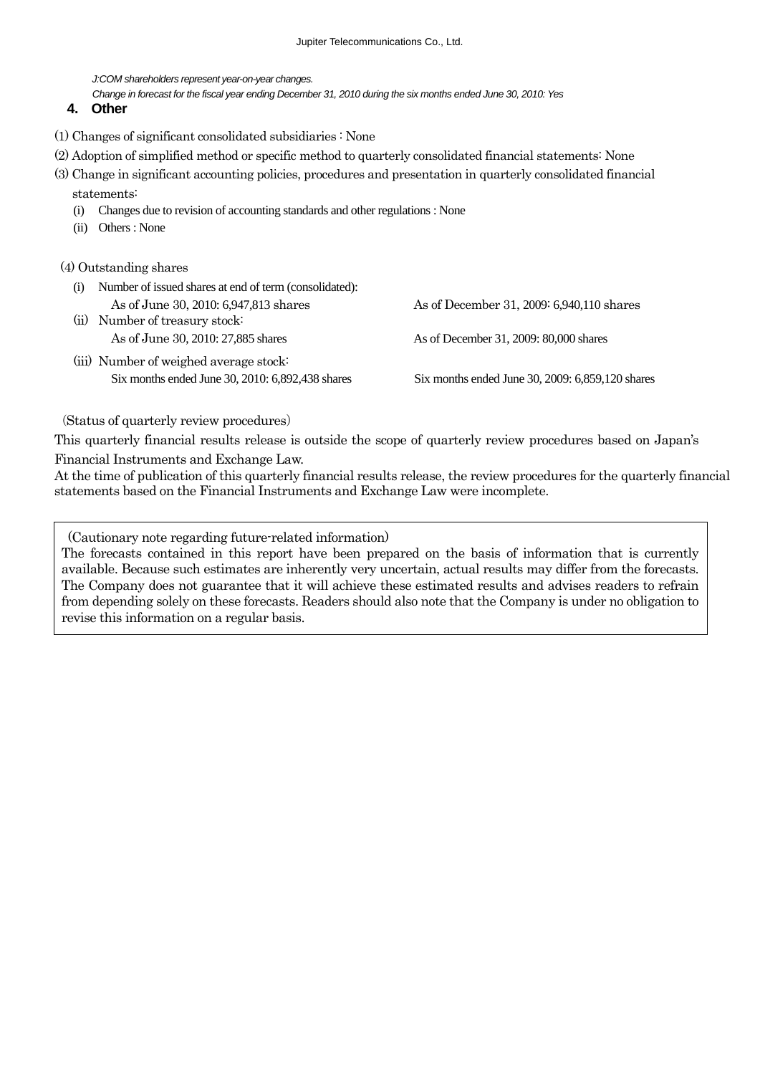*J:COM shareholders represent year-on-year changes.* 

*Change in forecast for the fiscal year ending December 31, 2010 during the six months ended June 30, 2010: Yes*

#### **4. Other**

- (1) Changes of significant consolidated subsidiaries : None
- (2) Adoption of simplified method or specific method to quarterly consolidated financial statements: None
- (3) Change in significant accounting policies, procedures and presentation in quarterly consolidated financial statements:
	- (i) Changes due to revision of accounting standards and other regulations : None
	- (ii) Others : None

#### (4) Outstanding shares

| (i)  | Number of issued shares at end of term (consolidated): |                                                  |
|------|--------------------------------------------------------|--------------------------------------------------|
|      | As of June 30, 2010: 6,947,813 shares                  | As of December 31, 2009: 6,940,110 shares        |
| (ii) | Number of treasury stock:                              |                                                  |
|      | As of June 30, 2010: 27,885 shares                     | As of December 31, 2009: 80,000 shares           |
|      | (iii) Number of weighed average stock:                 |                                                  |
|      | Six months ended June 30, 2010: 6,892,438 shares       | Six months ended June 30, 2009: 6,859,120 shares |

#### (Status of quarterly review procedures)

This quarterly financial results release is outside the scope of quarterly review procedures based on Japan's Financial Instruments and Exchange Law.

At the time of publication of this quarterly financial results release, the review procedures for the quarterly financial statements based on the Financial Instruments and Exchange Law were incomplete.

(Cautionary note regarding future-related information)

The forecasts contained in this report have been prepared on the basis of information that is currently available. Because such estimates are inherently very uncertain, actual results may differ from the forecasts. The Company does not guarantee that it will achieve these estimated results and advises readers to refrain from depending solely on these forecasts. Readers should also note that the Company is under no obligation to revise this information on a regular basis.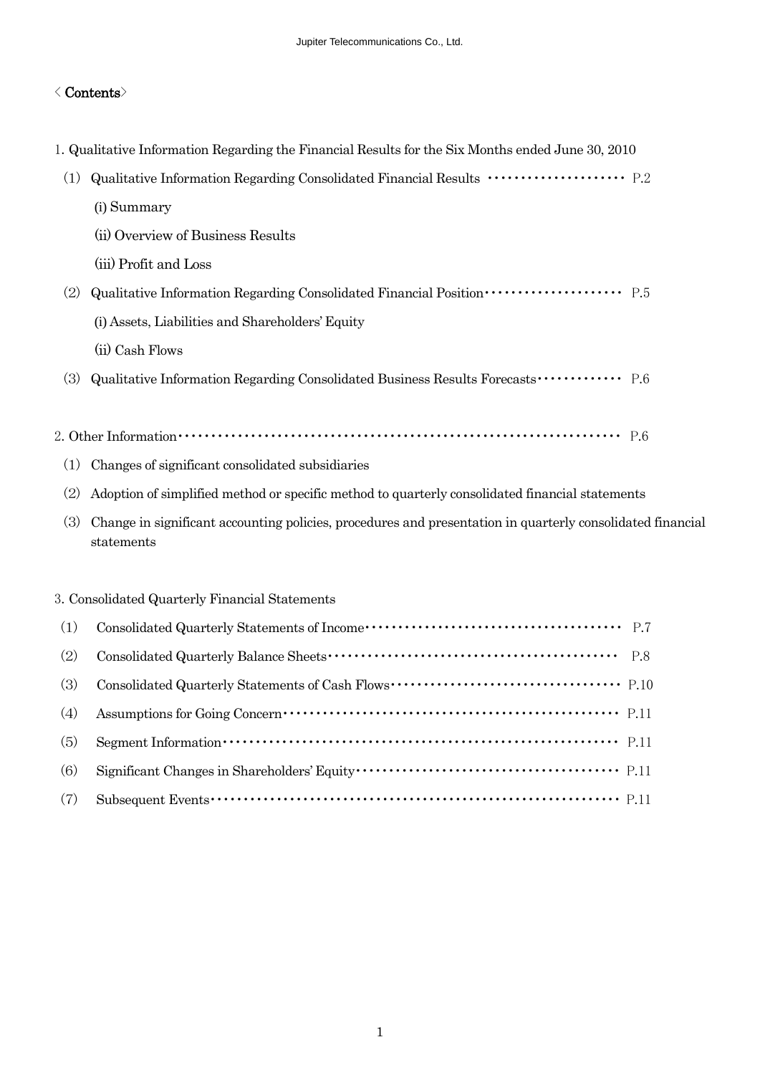#### < Contents>

- 1. Qualitative Information Regarding the Financial Results for the Six Months ended June 30, 2010
- (1) Qualitative Information Regarding Consolidated Financial Results ・・・・・・・・・・・・・・・・・・・・・ P.2
	- (i) Summary
	- (ii) Overview of Business Results
	- (iii) Profit and Loss
- (2) Qualitative Information Regarding Consolidated Financial Position・・・・・・・・・・・・・・・・・・・・・ P.5
	- (i) Assets, Liabilities and Shareholders' Equity
	- (ii) Cash Flows
- (3) Qualitative Information Regarding Consolidated Business Results Forecasts・・・・・・・・・・・・・ P.6
- 2. Other Information・・・・・・・・・・・・・・・・・・・・・・・・・・・・・・・・・・・・・・・・・・・・・・・・・・・・・・・・・・・・・・・・・・・ P.6
	- (1) Changes of significant consolidated subsidiaries
	- (2) Adoption of simplified method or specific method to quarterly consolidated financial statements
	- (3) Change in significant accounting policies, procedures and presentation in quarterly consolidated financial statements

#### 3. Consolidated Quarterly Financial Statements

| (1) |                                                                                                                                                                                                                                                                                                                                    |  |
|-----|------------------------------------------------------------------------------------------------------------------------------------------------------------------------------------------------------------------------------------------------------------------------------------------------------------------------------------|--|
| (2) |                                                                                                                                                                                                                                                                                                                                    |  |
| (3) |                                                                                                                                                                                                                                                                                                                                    |  |
| (4) |                                                                                                                                                                                                                                                                                                                                    |  |
| (5) | Segment Information $\cdots$ $\cdots$ $\cdots$ $\cdots$ $\cdots$ $\cdots$ $\cdots$ $\cdots$ $\cdots$ $\cdots$ $\cdots$ $\cdots$ $\cdots$ $\cdots$ $\cdots$ $\cdots$ $\cdots$ $\cdots$ $\cdots$ $\cdots$ $\cdots$ $\cdots$ $\cdots$ $\cdots$ $\cdots$ $\cdots$ $\cdots$ $\cdots$ $\cdots$ $\cdots$ $\cdots$ $\cdots$ $\cdots$ $\cd$ |  |
| (6) |                                                                                                                                                                                                                                                                                                                                    |  |
| (7) |                                                                                                                                                                                                                                                                                                                                    |  |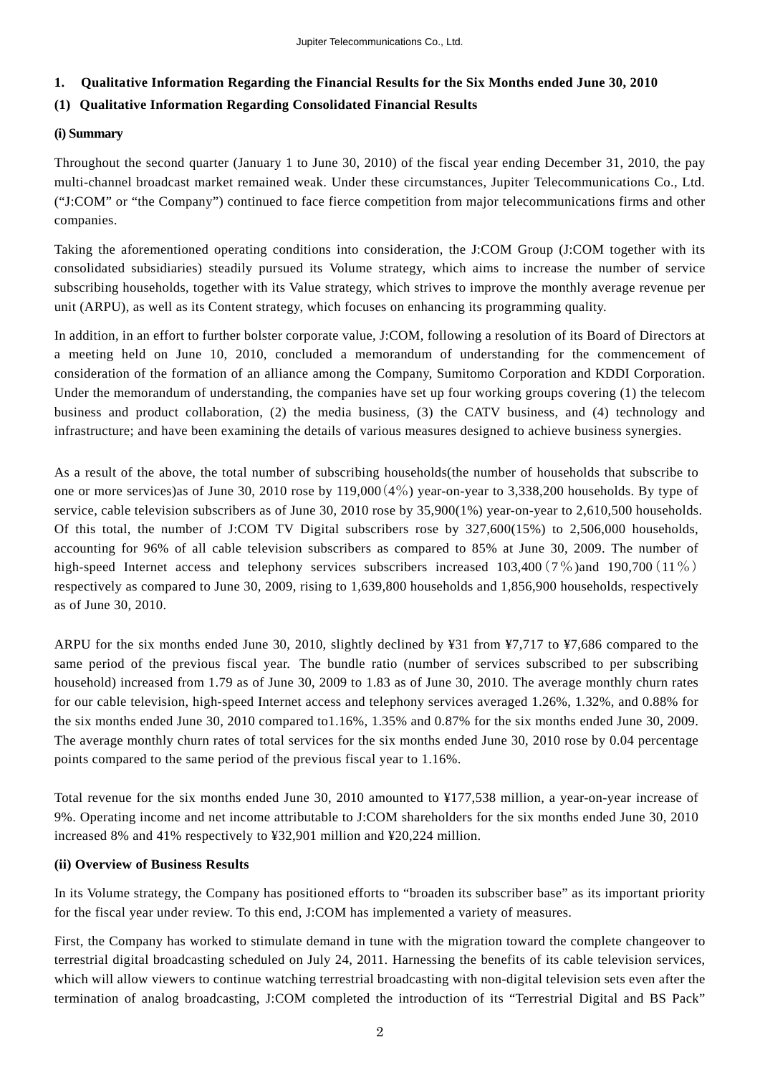### **1. Qualitative Information Regarding the Financial Results for the Six Months ended June 30, 2010**

## **(1) Qualitative Information Regarding Consolidated Financial Results**

#### **(i) Summary**

Throughout the second quarter (January 1 to June 30, 2010) of the fiscal year ending December 31, 2010, the pay multi-channel broadcast market remained weak. Under these circumstances, Jupiter Telecommunications Co., Ltd. ("J:COM" or "the Company") continued to face fierce competition from major telecommunications firms and other companies.

Taking the aforementioned operating conditions into consideration, the J:COM Group (J:COM together with its consolidated subsidiaries) steadily pursued its Volume strategy, which aims to increase the number of service subscribing households, together with its Value strategy, which strives to improve the monthly average revenue per unit (ARPU), as well as its Content strategy, which focuses on enhancing its programming quality.

In addition, in an effort to further bolster corporate value, J:COM, following a resolution of its Board of Directors at a meeting held on June 10, 2010, concluded a memorandum of understanding for the commencement of consideration of the formation of an alliance among the Company, Sumitomo Corporation and KDDI Corporation. Under the memorandum of understanding, the companies have set up four working groups covering (1) the telecom business and product collaboration, (2) the media business, (3) the CATV business, and (4) technology and infrastructure; and have been examining the details of various measures designed to achieve business synergies.

As a result of the above, the total number of subscribing households(the number of households that subscribe to one or more services)as of June 30, 2010 rose by 119,000(4%) year-on-year to 3,338,200 households. By type of service, cable television subscribers as of June 30, 2010 rose by 35,900(1%) year-on-year to 2,610,500 households. Of this total, the number of J:COM TV Digital subscribers rose by 327,600(15%) to 2,506,000 households, accounting for 96% of all cable television subscribers as compared to 85% at June 30, 2009. The number of high-speed Internet access and telephony services subscribers increased  $103,400(7\%)$  and  $190,700(11\%)$ respectively as compared to June 30, 2009, rising to 1,639,800 households and 1,856,900 households, respectively as of June 30, 2010.

ARPU for the six months ended June 30, 2010, slightly declined by ¥31 from ¥7,717 to ¥7,686 compared to the same period of the previous fiscal year. The bundle ratio (number of services subscribed to per subscribing household) increased from 1.79 as of June 30, 2009 to 1.83 as of June 30, 2010. The average monthly churn rates for our cable television, high-speed Internet access and telephony services averaged 1.26%, 1.32%, and 0.88% for the six months ended June 30, 2010 compared to1.16%, 1.35% and 0.87% for the six months ended June 30, 2009. The average monthly churn rates of total services for the six months ended June 30, 2010 rose by 0.04 percentage points compared to the same period of the previous fiscal year to 1.16%.

Total revenue for the six months ended June 30, 2010 amounted to ¥177,538 million, a year-on-year increase of 9%. Operating income and net income attributable to J:COM shareholders for the six months ended June 30, 2010 increased 8% and 41% respectively to ¥32,901 million and ¥20,224 million.

### **(ii) Overview of Business Results**

In its Volume strategy, the Company has positioned efforts to "broaden its subscriber base" as its important priority for the fiscal year under review. To this end, J:COM has implemented a variety of measures.

First, the Company has worked to stimulate demand in tune with the migration toward the complete changeover to terrestrial digital broadcasting scheduled on July 24, 2011. Harnessing the benefits of its cable television services, which will allow viewers to continue watching terrestrial broadcasting with non-digital television sets even after the termination of analog broadcasting, J:COM completed the introduction of its "Terrestrial Digital and BS Pack"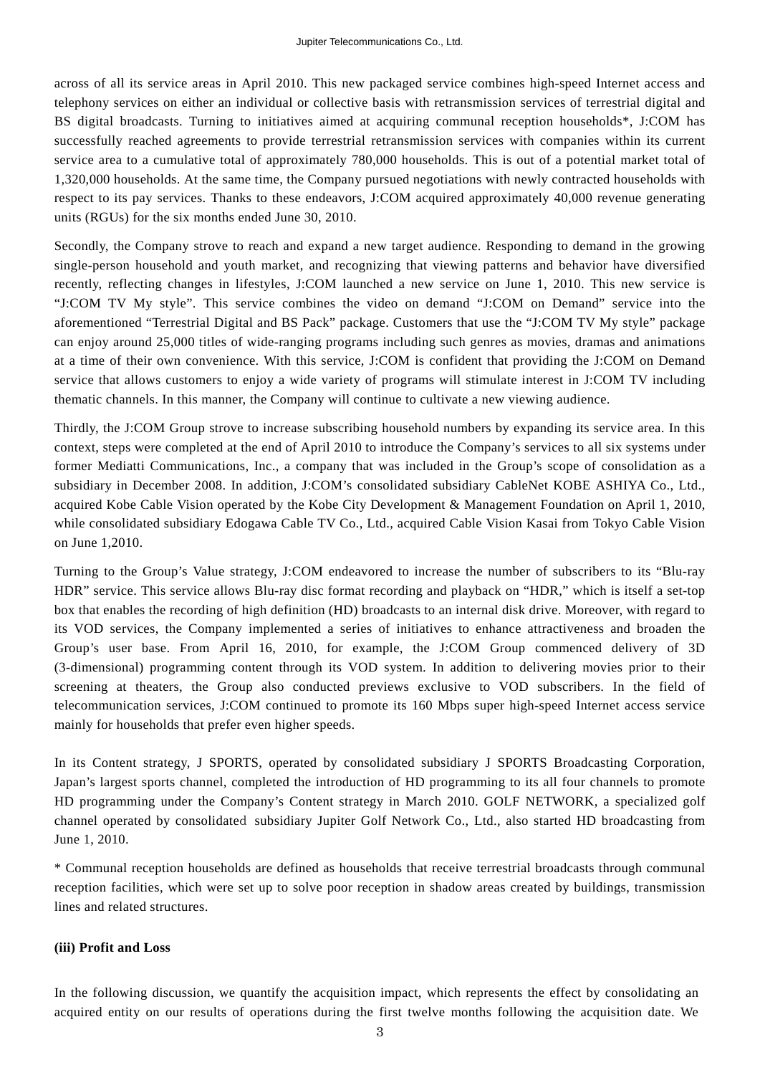across of all its service areas in April 2010. This new packaged service combines high-speed Internet access and telephony services on either an individual or collective basis with retransmission services of terrestrial digital and BS digital broadcasts. Turning to initiatives aimed at acquiring communal reception households\*, J:COM has successfully reached agreements to provide terrestrial retransmission services with companies within its current service area to a cumulative total of approximately 780,000 households. This is out of a potential market total of 1,320,000 households. At the same time, the Company pursued negotiations with newly contracted households with respect to its pay services. Thanks to these endeavors, J:COM acquired approximately 40,000 revenue generating units (RGUs) for the six months ended June 30, 2010.

Secondly, the Company strove to reach and expand a new target audience. Responding to demand in the growing single-person household and youth market, and recognizing that viewing patterns and behavior have diversified recently, reflecting changes in lifestyles, J:COM launched a new service on June 1, 2010. This new service is "J:COM TV My style". This service combines the video on demand "J:COM on Demand" service into the aforementioned "Terrestrial Digital and BS Pack" package. Customers that use the "J:COM TV My style" package can enjoy around 25,000 titles of wide-ranging programs including such genres as movies, dramas and animations at a time of their own convenience. With this service, J:COM is confident that providing the J:COM on Demand service that allows customers to enjoy a wide variety of programs will stimulate interest in J:COM TV including thematic channels. In this manner, the Company will continue to cultivate a new viewing audience.

Thirdly, the J:COM Group strove to increase subscribing household numbers by expanding its service area. In this context, steps were completed at the end of April 2010 to introduce the Company's services to all six systems under former Mediatti Communications, Inc., a company that was included in the Group's scope of consolidation as a subsidiary in December 2008. In addition, J:COM's consolidated subsidiary CableNet KOBE ASHIYA Co., Ltd., acquired Kobe Cable Vision operated by the Kobe City Development & Management Foundation on April 1, 2010, while consolidated subsidiary Edogawa Cable TV Co., Ltd., acquired Cable Vision Kasai from Tokyo Cable Vision on June 1,2010.

Turning to the Group's Value strategy, J:COM endeavored to increase the number of subscribers to its "Blu-ray HDR" service. This service allows Blu-ray disc format recording and playback on "HDR," which is itself a set-top box that enables the recording of high definition (HD) broadcasts to an internal disk drive. Moreover, with regard to its VOD services, the Company implemented a series of initiatives to enhance attractiveness and broaden the Group's user base. From April 16, 2010, for example, the J:COM Group commenced delivery of 3D (3-dimensional) programming content through its VOD system. In addition to delivering movies prior to their screening at theaters, the Group also conducted previews exclusive to VOD subscribers. In the field of telecommunication services, J:COM continued to promote its 160 Mbps super high-speed Internet access service mainly for households that prefer even higher speeds.

In its Content strategy, J SPORTS, operated by consolidated subsidiary J SPORTS Broadcasting Corporation, Japan's largest sports channel, completed the introduction of HD programming to its all four channels to promote HD programming under the Company's Content strategy in March 2010. GOLF NETWORK, a specialized golf channel operated by consolidated subsidiary Jupiter Golf Network Co., Ltd., also started HD broadcasting from June 1, 2010.

\* Communal reception households are defined as households that receive terrestrial broadcasts through communal reception facilities, which were set up to solve poor reception in shadow areas created by buildings, transmission lines and related structures.

#### **(iii) Profit and Loss**

In the following discussion, we quantify the acquisition impact, which represents the effect by consolidating an acquired entity on our results of operations during the first twelve months following the acquisition date. We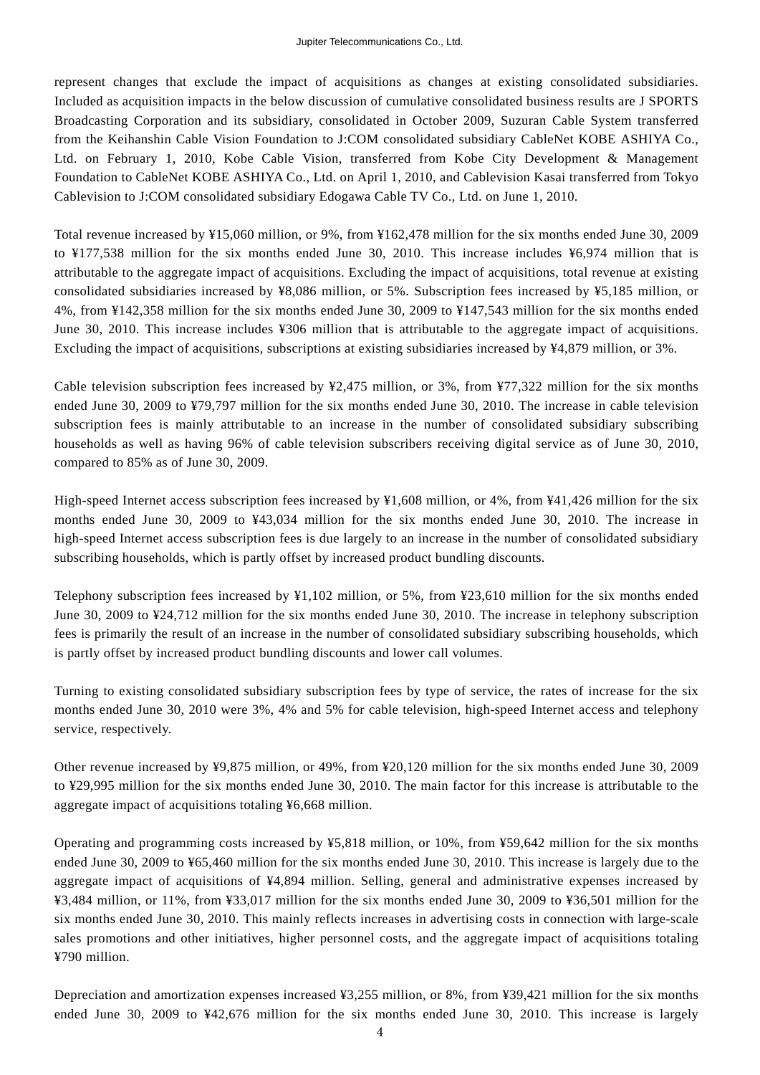represent changes that exclude the impact of acquisitions as changes at existing consolidated subsidiaries. Included as acquisition impacts in the below discussion of cumulative consolidated business results are J SPORTS Broadcasting Corporation and its subsidiary, consolidated in October 2009, Suzuran Cable System transferred from the Keihanshin Cable Vision Foundation to J:COM consolidated subsidiary CableNet KOBE ASHIYA Co., Ltd. on February 1, 2010, Kobe Cable Vision, transferred from Kobe City Development & Management Foundation to CableNet KOBE ASHIYA Co., Ltd. on April 1, 2010, and Cablevision Kasai transferred from Tokyo Cablevision to J:COM consolidated subsidiary Edogawa Cable TV Co., Ltd. on June 1, 2010.

Total revenue increased by ¥15,060 million, or 9%, from ¥162,478 million for the six months ended June 30, 2009 to ¥177,538 million for the six months ended June 30, 2010. This increase includes ¥6,974 million that is attributable to the aggregate impact of acquisitions. Excluding the impact of acquisitions, total revenue at existing consolidated subsidiaries increased by ¥8,086 million, or 5%. Subscription fees increased by ¥5,185 million, or 4%, from ¥142,358 million for the six months ended June 30, 2009 to ¥147,543 million for the six months ended June 30, 2010. This increase includes ¥306 million that is attributable to the aggregate impact of acquisitions. Excluding the impact of acquisitions, subscriptions at existing subsidiaries increased by ¥4,879 million, or 3%.

Cable television subscription fees increased by  $\frac{47}{7}$ ,  $\frac{475}{7}$  million, or 3%, from  $\frac{477}{7}$ ,  $\frac{322}{7}$  million for the six months ended June 30, 2009 to ¥79,797 million for the six months ended June 30, 2010. The increase in cable television subscription fees is mainly attributable to an increase in the number of consolidated subsidiary subscribing households as well as having 96% of cable television subscribers receiving digital service as of June 30, 2010, compared to 85% as of June 30, 2009.

High-speed Internet access subscription fees increased by ¥1,608 million, or 4%, from ¥41,426 million for the six months ended June 30, 2009 to ¥43,034 million for the six months ended June 30, 2010. The increase in high-speed Internet access subscription fees is due largely to an increase in the number of consolidated subsidiary subscribing households, which is partly offset by increased product bundling discounts.

Telephony subscription fees increased by ¥1,102 million, or 5%, from ¥23,610 million for the six months ended June 30, 2009 to ¥24,712 million for the six months ended June 30, 2010. The increase in telephony subscription fees is primarily the result of an increase in the number of consolidated subsidiary subscribing households, which is partly offset by increased product bundling discounts and lower call volumes.

Turning to existing consolidated subsidiary subscription fees by type of service, the rates of increase for the six months ended June 30, 2010 were 3%, 4% and 5% for cable television, high-speed Internet access and telephony service, respectively.

Other revenue increased by ¥9,875 million, or 49%, from ¥20,120 million for the six months ended June 30, 2009 to ¥29,995 million for the six months ended June 30, 2010. The main factor for this increase is attributable to the aggregate impact of acquisitions totaling ¥6,668 million.

Operating and programming costs increased by ¥5,818 million, or 10%, from ¥59,642 million for the six months ended June 30, 2009 to ¥65,460 million for the six months ended June 30, 2010. This increase is largely due to the aggregate impact of acquisitions of ¥4,894 million. Selling, general and administrative expenses increased by ¥3,484 million, or 11%, from ¥33,017 million for the six months ended June 30, 2009 to ¥36,501 million for the six months ended June 30, 2010. This mainly reflects increases in advertising costs in connection with large-scale sales promotions and other initiatives, higher personnel costs, and the aggregate impact of acquisitions totaling ¥790 million.

Depreciation and amortization expenses increased ¥3,255 million, or 8%, from ¥39,421 million for the six months ended June 30, 2009 to ¥42,676 million for the six months ended June 30, 2010. This increase is largely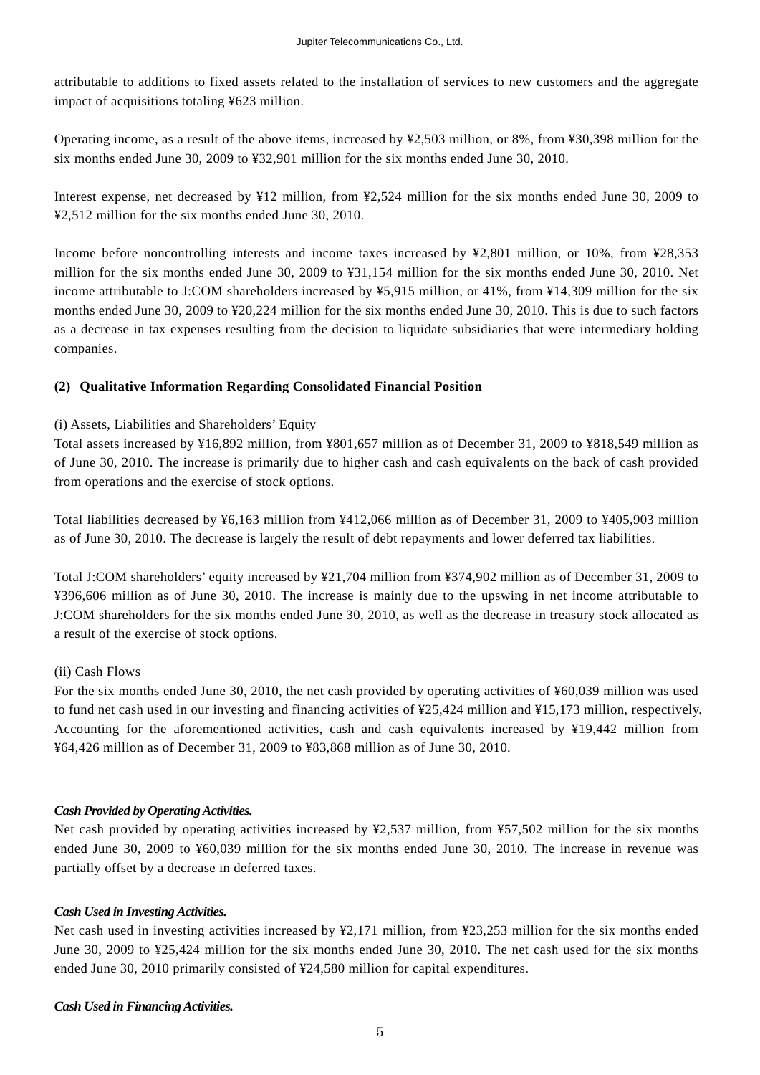attributable to additions to fixed assets related to the installation of services to new customers and the aggregate impact of acquisitions totaling ¥623 million.

Operating income, as a result of the above items, increased by ¥2,503 million, or 8%, from ¥30,398 million for the six months ended June 30, 2009 to ¥32,901 million for the six months ended June 30, 2010.

Interest expense, net decreased by ¥12 million, from ¥2,524 million for the six months ended June 30, 2009 to ¥2,512 million for the six months ended June 30, 2010.

Income before noncontrolling interests and income taxes increased by ¥2,801 million, or 10%, from ¥28,353 million for the six months ended June 30, 2009 to ¥31,154 million for the six months ended June 30, 2010. Net income attributable to J:COM shareholders increased by ¥5,915 million, or 41%, from ¥14,309 million for the six months ended June 30, 2009 to ¥20,224 million for the six months ended June 30, 2010. This is due to such factors as a decrease in tax expenses resulting from the decision to liquidate subsidiaries that were intermediary holding companies.

### **(2) Qualitative Information Regarding Consolidated Financial Position**

### (i) Assets, Liabilities and Shareholders' Equity

Total assets increased by ¥16,892 million, from ¥801,657 million as of December 31, 2009 to ¥818,549 million as of June 30, 2010. The increase is primarily due to higher cash and cash equivalents on the back of cash provided from operations and the exercise of stock options.

Total liabilities decreased by ¥6,163 million from ¥412,066 million as of December 31, 2009 to ¥405,903 million as of June 30, 2010. The decrease is largely the result of debt repayments and lower deferred tax liabilities.

Total J:COM shareholders' equity increased by ¥21,704 million from ¥374,902 million as of December 31, 2009 to ¥396,606 million as of June 30, 2010. The increase is mainly due to the upswing in net income attributable to J:COM shareholders for the six months ended June 30, 2010, as well as the decrease in treasury stock allocated as a result of the exercise of stock options.

### (ii) Cash Flows

For the six months ended June 30, 2010, the net cash provided by operating activities of ¥60,039 million was used to fund net cash used in our investing and financing activities of ¥25,424 million and ¥15,173 million, respectively. Accounting for the aforementioned activities, cash and cash equivalents increased by ¥19,442 million from ¥64,426 million as of December 31, 2009 to ¥83,868 million as of June 30, 2010.

#### *Cash Provided by Operating Activities.*

Net cash provided by operating activities increased by ¥2,537 million, from ¥57,502 million for the six months ended June 30, 2009 to ¥60,039 million for the six months ended June 30, 2010. The increase in revenue was partially offset by a decrease in deferred taxes.

### *Cash Used in Investing Activities.*

Net cash used in investing activities increased by ¥2,171 million, from ¥23,253 million for the six months ended June 30, 2009 to ¥25,424 million for the six months ended June 30, 2010. The net cash used for the six months ended June 30, 2010 primarily consisted of ¥24,580 million for capital expenditures.

#### *Cash Used in Financing Activities.*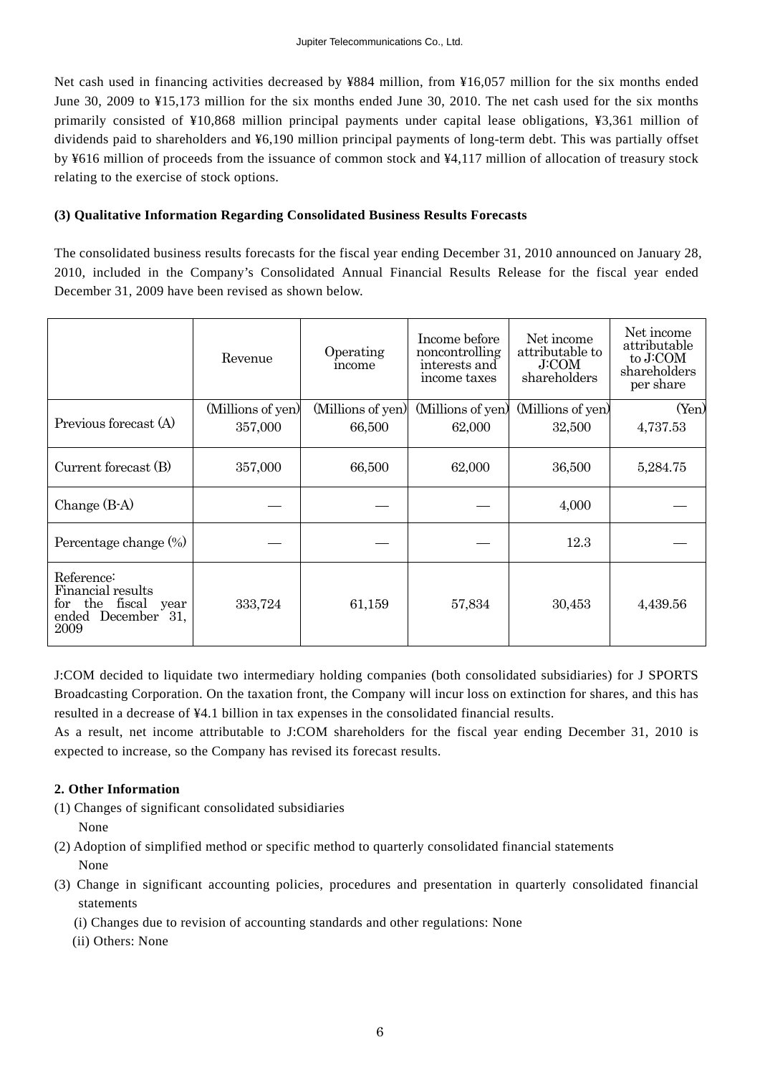Net cash used in financing activities decreased by ¥884 million, from ¥16,057 million for the six months ended June 30, 2009 to ¥15,173 million for the six months ended June 30, 2010. The net cash used for the six months primarily consisted of ¥10,868 million principal payments under capital lease obligations, ¥3,361 million of dividends paid to shareholders and ¥6,190 million principal payments of long-term debt. This was partially offset by ¥616 million of proceeds from the issuance of common stock and ¥4,117 million of allocation of treasury stock relating to the exercise of stock options.

#### **(3) Qualitative Information Regarding Consolidated Business Results Forecasts**

The consolidated business results forecasts for the fiscal year ending December 31, 2010 announced on January 28, 2010, included in the Company's Consolidated Annual Financial Results Release for the fiscal year ended December 31, 2009 have been revised as shown below.

|                                                                                               | Revenue                      | Operating<br>income         | Income before<br>noncontrolling<br>interests and<br>income taxes | Net income<br>attributable to<br><b>J:COM</b><br>shareholders | Net income<br>attributable<br>to J:COM<br>shareholders<br>per share |
|-----------------------------------------------------------------------------------------------|------------------------------|-----------------------------|------------------------------------------------------------------|---------------------------------------------------------------|---------------------------------------------------------------------|
| Previous forecast (A)                                                                         | (Millions of yen)<br>357,000 | (Millions of yen)<br>66,500 | (Millions of yen)<br>62,000                                      | (Millions of yen)<br>32,500                                   | (Yen)<br>4,737.53                                                   |
| Current forecast (B)                                                                          | 357,000                      | 66,500                      | 62,000                                                           | 36,500                                                        | 5,284.75                                                            |
| Change $(B-A)$                                                                                |                              |                             |                                                                  | 4,000                                                         |                                                                     |
| Percentage change (%)                                                                         |                              |                             |                                                                  | 12.3                                                          |                                                                     |
| Reference:<br>Financial results<br>the fiscal<br>for<br>year<br>December 31,<br>ended<br>2009 | 333,724                      | 61,159                      | 57,834                                                           | 30,453                                                        | 4,439.56                                                            |

J:COM decided to liquidate two intermediary holding companies (both consolidated subsidiaries) for J SPORTS Broadcasting Corporation. On the taxation front, the Company will incur loss on extinction for shares, and this has resulted in a decrease of ¥4.1 billion in tax expenses in the consolidated financial results.

As a result, net income attributable to J:COM shareholders for the fiscal year ending December 31, 2010 is expected to increase, so the Company has revised its forecast results.

### **2. Other Information**

- (1) Changes of significant consolidated subsidiaries None
- (2) Adoption of simplified method or specific method to quarterly consolidated financial statements None
- (3) Change in significant accounting policies, procedures and presentation in quarterly consolidated financial statements
	- (i) Changes due to revision of accounting standards and other regulations: None
	- (ii) Others: None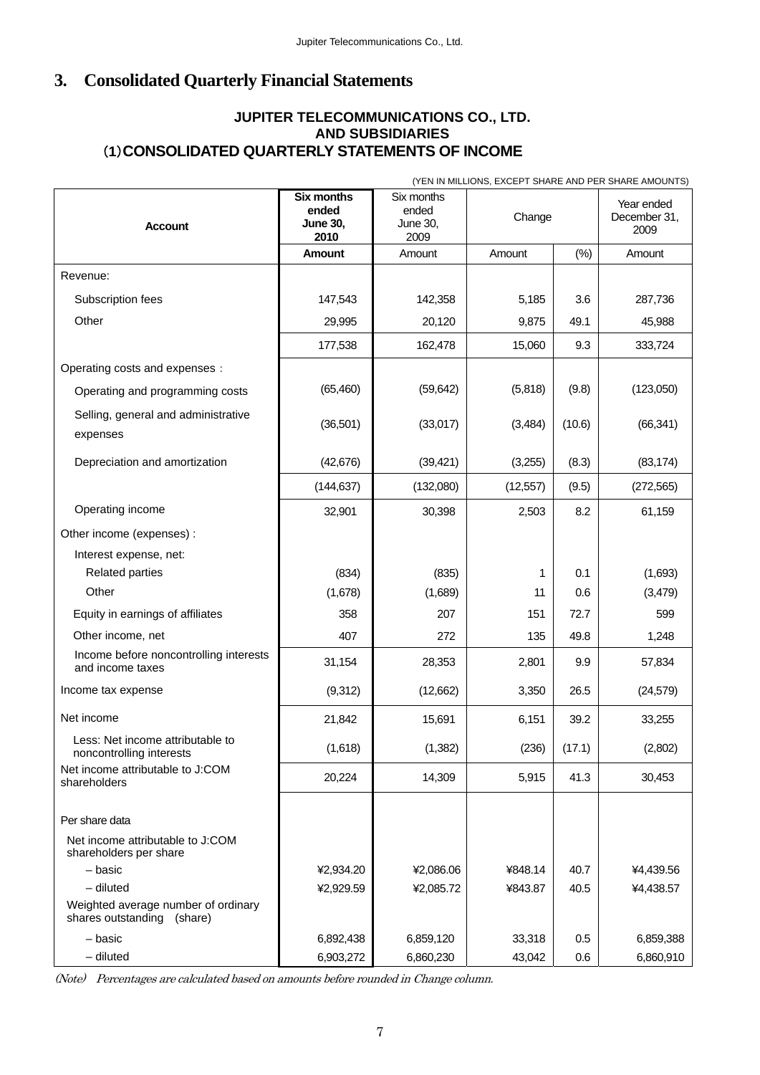# **3. Consolidated Quarterly Financial Statements**

# (**1**)**CONSO LIDATED QUARTERLY STATEMENTS OF INCOME JUPITER TELECOMMUNICATIONS CO., LTD. AND SUBSIDIARIES**

| (YEN IN MILLIONS, EXCEPT SHARE AND PER SHARE AMOUNTS)                |                                                       |                                         |           |        |                                    |
|----------------------------------------------------------------------|-------------------------------------------------------|-----------------------------------------|-----------|--------|------------------------------------|
| <b>Account</b>                                                       | <b>Six months</b><br>ended<br><b>June 30,</b><br>2010 | Six months<br>ended<br>June 30,<br>2009 | Change    |        | Year ended<br>December 31,<br>2009 |
|                                                                      | <b>Amount</b>                                         | Amount                                  | Amount    | (%)    | Amount                             |
| Revenue:                                                             |                                                       |                                         |           |        |                                    |
| Subscription fees                                                    | 147,543                                               | 142,358                                 | 5,185     | 3.6    | 287,736                            |
| Other                                                                | 29,995                                                | 20,120                                  | 9,875     | 49.1   | 45,988                             |
|                                                                      | 177,538                                               | 162,478                                 | 15,060    | 9.3    | 333,724                            |
| Operating costs and expenses :                                       |                                                       |                                         |           |        |                                    |
| Operating and programming costs                                      | (65, 460)                                             | (59, 642)                               | (5,818)   | (9.8)  | (123,050)                          |
| Selling, general and administrative<br>expenses                      | (36, 501)                                             | (33,017)                                | (3, 484)  | (10.6) | (66, 341)                          |
| Depreciation and amortization                                        | (42, 676)                                             | (39, 421)                               | (3,255)   | (8.3)  | (83, 174)                          |
|                                                                      | (144, 637)                                            | (132,080)                               | (12, 557) | (9.5)  | (272, 565)                         |
| Operating income                                                     | 32,901                                                | 30,398                                  | 2,503     | 8.2    | 61,159                             |
| Other income (expenses) :                                            |                                                       |                                         |           |        |                                    |
| Interest expense, net:                                               |                                                       |                                         |           |        |                                    |
| <b>Related parties</b>                                               | (834)                                                 | (835)                                   | 1         | 0.1    | (1,693)                            |
| Other                                                                | (1,678)                                               | (1,689)                                 | 11        | 0.6    | (3,479)                            |
| Equity in earnings of affiliates                                     | 358                                                   | 207                                     | 151       | 72.7   | 599                                |
| Other income, net                                                    | 407                                                   | 272                                     | 135       | 49.8   | 1,248                              |
| Income before noncontrolling interests<br>and income taxes           | 31,154                                                | 28,353                                  | 2,801     | 9.9    | 57,834                             |
| Income tax expense                                                   | (9,312)                                               | (12,662)                                | 3,350     | 26.5   | (24, 579)                          |
| Net income                                                           | 21,842                                                | 15,691                                  | 6,151     | 39.2   | 33,255                             |
| Less: Net income attributable to<br>noncontrolling interests         | (1,618)                                               | (1, 382)                                | (236)     | (17.1) | (2,802)                            |
| Net income attributable to J:COM<br>shareholders                     | 20,224                                                | 14,309                                  | 5,915     | 41.3   | 30,453                             |
| Per share data                                                       |                                                       |                                         |           |        |                                    |
| Net income attributable to J:COM<br>shareholders per share           |                                                       |                                         |           |        |                                    |
| - basic                                                              | ¥2,934.20                                             | ¥2,086.06                               | ¥848.14   | 40.7   | ¥4,439.56                          |
| $-$ diluted                                                          | ¥2,929.59                                             | ¥2,085.72                               | ¥843.87   | 40.5   | ¥4,438.57                          |
| Weighted average number of ordinary<br>(share)<br>shares outstanding |                                                       |                                         |           |        |                                    |
| - basic                                                              | 6,892,438                                             | 6,859,120                               | 33,318    | 0.5    | 6,859,388                          |
| $-$ diluted                                                          | 6,903,272                                             | 6,860,230                               | 43,042    | 0.6    | 6,860,910                          |

(Note) Percentages are calculated based on amounts before rounded in Change column.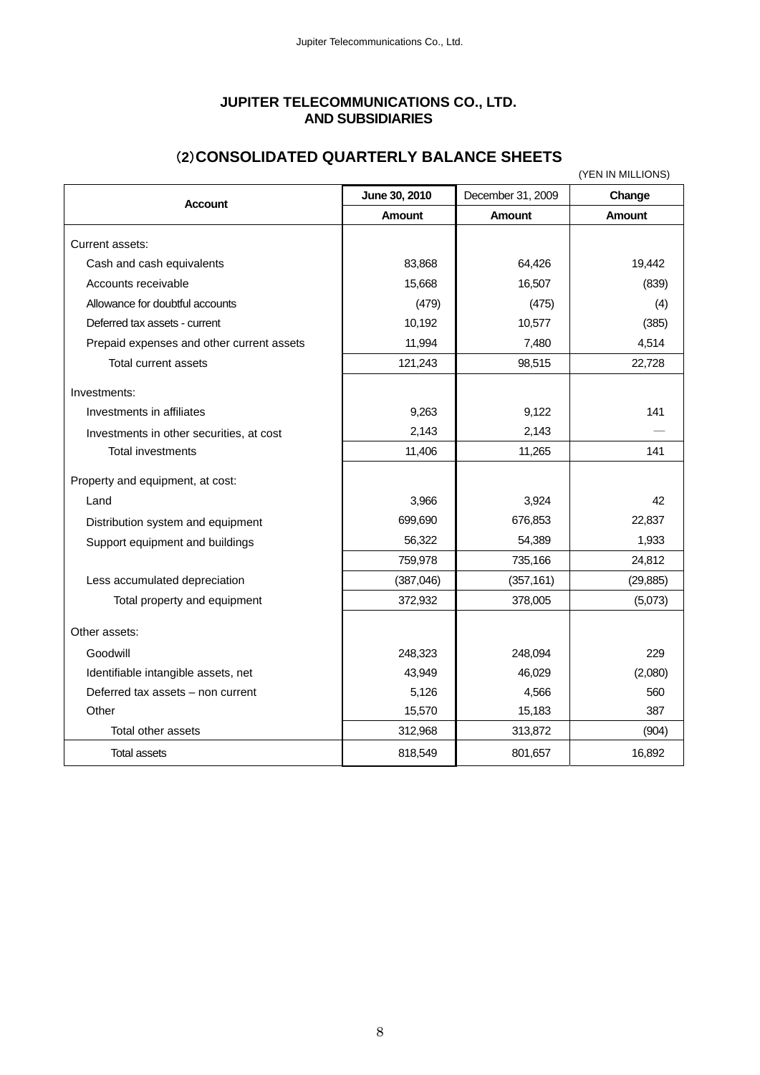#### **JUPITER TELECOMMUNICATIONS CO., LTD. AND SUBSIDIARIES**

|                                           |               |                   | (YEN IN MILLIONS) |
|-------------------------------------------|---------------|-------------------|-------------------|
| <b>Account</b>                            | June 30, 2010 | December 31, 2009 | Change            |
|                                           | <b>Amount</b> | <b>Amount</b>     | <b>Amount</b>     |
| Current assets:                           |               |                   |                   |
| Cash and cash equivalents                 | 83,868        | 64,426            | 19,442            |
| Accounts receivable                       | 15,668        | 16,507            | (839)             |
| Allowance for doubtful accounts           | (479)         | (475)             | (4)               |
| Deferred tax assets - current             | 10,192        | 10,577            | (385)             |
| Prepaid expenses and other current assets | 11,994        | 7,480             | 4,514             |
| Total current assets                      | 121,243       | 98,515            | 22,728            |
| Investments:                              |               |                   |                   |
| Investments in affiliates                 | 9,263         | 9,122             | 141               |
| Investments in other securities, at cost  | 2,143         | 2,143             |                   |
| Total investments                         | 11,406        | 11,265            | 141               |
| Property and equipment, at cost:          |               |                   |                   |
| Land                                      | 3,966         | 3,924             | 42                |
| Distribution system and equipment         | 699,690       | 676,853           | 22,837            |
| Support equipment and buildings           | 56,322        | 54,389            | 1,933             |
|                                           | 759,978       | 735,166           | 24,812            |
| Less accumulated depreciation             | (387, 046)    | (357, 161)        | (29, 885)         |
| Total property and equipment              | 372,932       | 378,005           | (5,073)           |
| Other assets:                             |               |                   |                   |
| Goodwill                                  | 248,323       | 248,094           | 229               |
| Identifiable intangible assets, net       | 43,949        | 46,029            | (2,080)           |
| Deferred tax assets - non current         | 5,126         | 4,566             | 560               |
| Other                                     | 15,570        | 15,183            | 387               |
| Total other assets                        | 312,968       | 313,872           | (904)             |
| Total assets                              | 818,549       | 801,657           | 16,892            |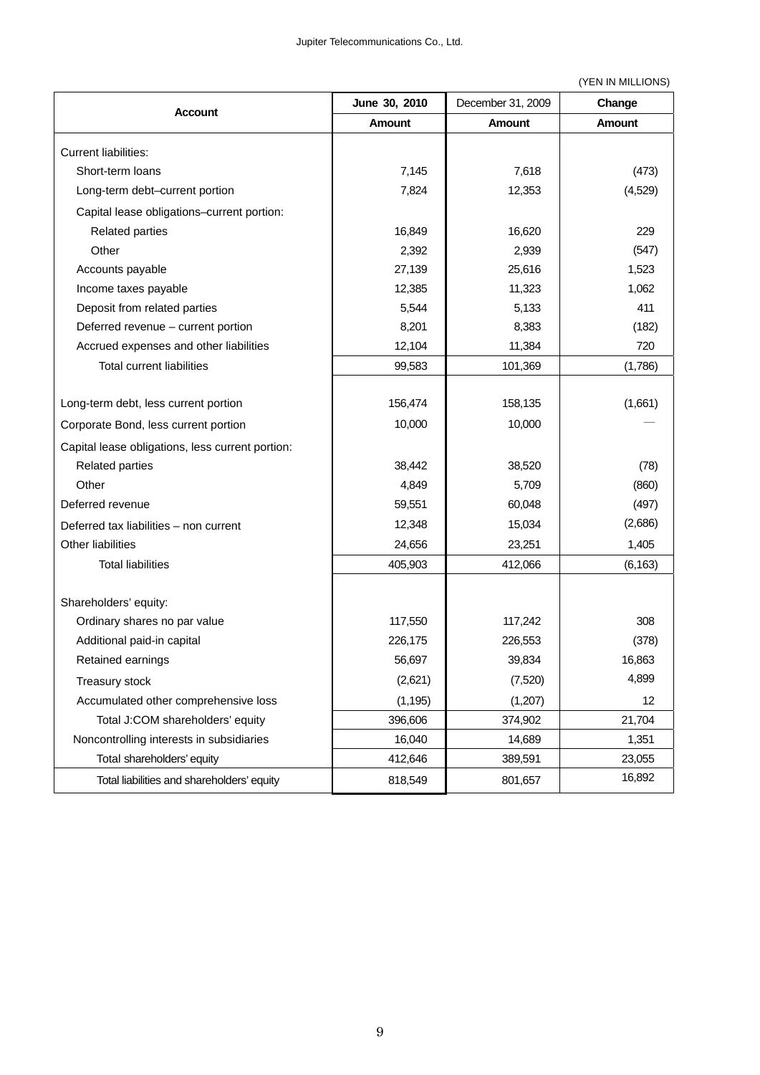(YEN IN MILLIONS)

|                                                  | June 30, 2010 | December 31, 2009 | Change        |
|--------------------------------------------------|---------------|-------------------|---------------|
| <b>Account</b>                                   | Amount        | <b>Amount</b>     | <b>Amount</b> |
| <b>Current liabilities:</b>                      |               |                   |               |
| Short-term loans                                 | 7,145         | 7,618             | (473)         |
| Long-term debt-current portion                   | 7,824         | 12,353            | (4,529)       |
| Capital lease obligations-current portion:       |               |                   |               |
| <b>Related parties</b>                           | 16,849        | 16,620            | 229           |
| Other                                            | 2,392         | 2,939             | (547)         |
| Accounts payable                                 | 27,139        | 25,616            | 1,523         |
| Income taxes payable                             | 12,385        | 11,323            | 1,062         |
| Deposit from related parties                     | 5,544         | 5,133             | 411           |
| Deferred revenue - current portion               | 8,201         | 8,383             | (182)         |
| Accrued expenses and other liabilities           | 12,104        | 11,384            | 720           |
| <b>Total current liabilities</b>                 | 99,583        | 101,369           | (1,786)       |
|                                                  |               |                   |               |
| Long-term debt, less current portion             | 156,474       | 158,135           | (1,661)       |
| Corporate Bond, less current portion             | 10,000        | 10,000            |               |
| Capital lease obligations, less current portion: |               |                   |               |
| <b>Related parties</b>                           | 38,442        | 38,520            | (78)          |
| Other                                            | 4,849         | 5,709             | (860)         |
| Deferred revenue                                 | 59,551        | 60,048            | (497)         |
| Deferred tax liabilities - non current           | 12,348        | 15,034            | (2,686)       |
| Other liabilities                                | 24,656        | 23,251            | 1,405         |
| <b>Total liabilities</b>                         | 405,903       | 412,066           | (6, 163)      |
|                                                  |               |                   |               |
| Shareholders' equity:                            |               |                   |               |
| Ordinary shares no par value                     | 117,550       | 117,242           | 308           |
| Additional paid-in capital                       | 226,175       | 226,553           | (378)         |
| Retained earnings                                | 56,697        | 39,834            | 16,863        |
| Treasury stock                                   | (2,621)       | (7,520)           | 4,899         |
| Accumulated other comprehensive loss             | (1, 195)      | (1,207)           | 12            |
| Total J:COM shareholders' equity                 | 396,606       | 374,902           | 21,704        |
| Noncontrolling interests in subsidiaries         | 16,040        | 14,689            | 1,351         |
| Total shareholders' equity                       | 412,646       | 389,591           | 23,055        |
| Total liabilities and shareholders' equity       | 818,549       | 801,657           | 16,892        |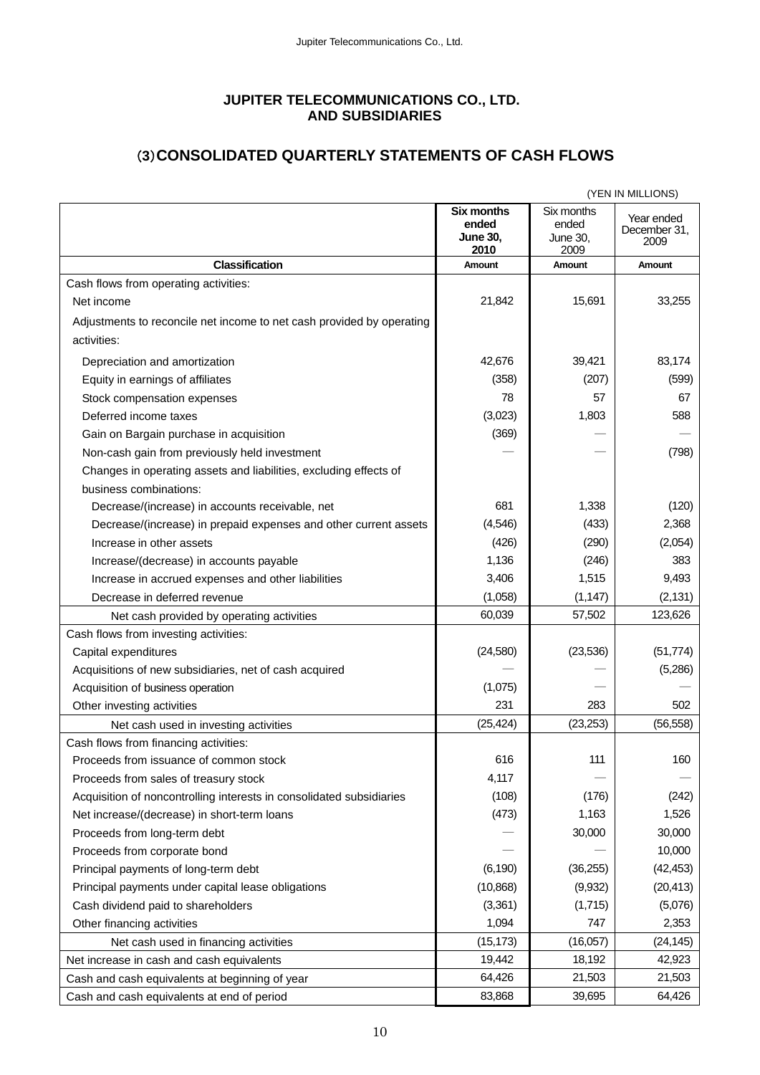## **JUPITER TELECOMMUNICATIONS CO., LTD. AND SUBSIDIARIES**

# (**3**)**CONSOLIDATED QUARTERLY STATEMENTS OF CASH FLOWS**

| (YEN IN MILLIONS)                                                     |                                                       |                                                |                                    |
|-----------------------------------------------------------------------|-------------------------------------------------------|------------------------------------------------|------------------------------------|
|                                                                       | <b>Six months</b><br>ended<br><b>June 30,</b><br>2010 | Six months<br>ended<br><b>June 30,</b><br>2009 | Year ended<br>December 31,<br>2009 |
| <b>Classification</b>                                                 | Amount                                                | Amount                                         | Amount                             |
| Cash flows from operating activities:                                 |                                                       |                                                |                                    |
| Net income                                                            | 21,842                                                | 15,691                                         | 33,255                             |
| Adjustments to reconcile net income to net cash provided by operating |                                                       |                                                |                                    |
| activities:                                                           |                                                       |                                                |                                    |
| Depreciation and amortization                                         | 42,676                                                | 39,421                                         | 83,174                             |
| Equity in earnings of affiliates                                      | (358)                                                 | (207)                                          | (599)                              |
| Stock compensation expenses                                           | 78                                                    | 57                                             | 67                                 |
| Deferred income taxes                                                 | (3,023)                                               | 1,803                                          | 588                                |
| Gain on Bargain purchase in acquisition                               | (369)                                                 |                                                |                                    |
| Non-cash gain from previously held investment                         |                                                       |                                                | (798)                              |
| Changes in operating assets and liabilities, excluding effects of     |                                                       |                                                |                                    |
| business combinations:                                                |                                                       |                                                |                                    |
| Decrease/(increase) in accounts receivable, net                       | 681                                                   | 1,338                                          | (120)                              |
| Decrease/(increase) in prepaid expenses and other current assets      | (4, 546)                                              | (433)                                          | 2,368                              |
| Increase in other assets                                              | (426)                                                 | (290)                                          | (2,054)                            |
| Increase/(decrease) in accounts payable                               | 1,136                                                 | (246)                                          | 383                                |
| Increase in accrued expenses and other liabilities                    | 3,406                                                 | 1,515                                          | 9,493                              |
| Decrease in deferred revenue                                          | (1,058)                                               | (1, 147)                                       | (2, 131)                           |
| Net cash provided by operating activities                             | 60,039                                                | 57,502                                         | 123,626                            |
| Cash flows from investing activities:                                 |                                                       |                                                |                                    |
| Capital expenditures                                                  | (24, 580)                                             | (23, 536)                                      | (51, 774)                          |
| Acquisitions of new subsidiaries, net of cash acquired                |                                                       |                                                | (5,286)                            |
| Acquisition of business operation                                     | (1,075)                                               |                                                |                                    |
| Other investing activities                                            | 231                                                   | 283                                            | 502                                |
| Net cash used in investing activities                                 | (25, 424)                                             | (23, 253)                                      | (56, 558)                          |
| Cash flows from financing activities:                                 |                                                       |                                                |                                    |
| Proceeds from issuance of common stock                                | 616                                                   | 111                                            | 160                                |
| Proceeds from sales of treasury stock                                 | 4,117                                                 |                                                |                                    |
| Acquisition of noncontrolling interests in consolidated subsidiaries  | (108)                                                 | (176)                                          | (242)                              |
| Net increase/(decrease) in short-term loans                           | (473)                                                 | 1,163                                          | 1,526                              |
| Proceeds from long-term debt                                          |                                                       | 30,000                                         | 30,000                             |
| Proceeds from corporate bond                                          |                                                       |                                                | 10,000                             |
| Principal payments of long-term debt                                  | (6, 190)                                              | (36, 255)                                      | (42, 453)                          |
| Principal payments under capital lease obligations                    | (10, 868)                                             | (9,932)                                        | (20, 413)                          |
| Cash dividend paid to shareholders                                    | (3,361)                                               | (1,715)                                        | (5,076)                            |
| Other financing activities                                            | 1,094                                                 | 747                                            | 2,353                              |
| Net cash used in financing activities                                 | (15, 173)                                             | (16,057)                                       | (24, 145)                          |
| Net increase in cash and cash equivalents                             | 19,442                                                | 18,192                                         | 42,923                             |
| Cash and cash equivalents at beginning of year                        | 64,426                                                | 21,503                                         | 21,503                             |
| Cash and cash equivalents at end of period                            | 83,868                                                | 39,695                                         | 64,426                             |